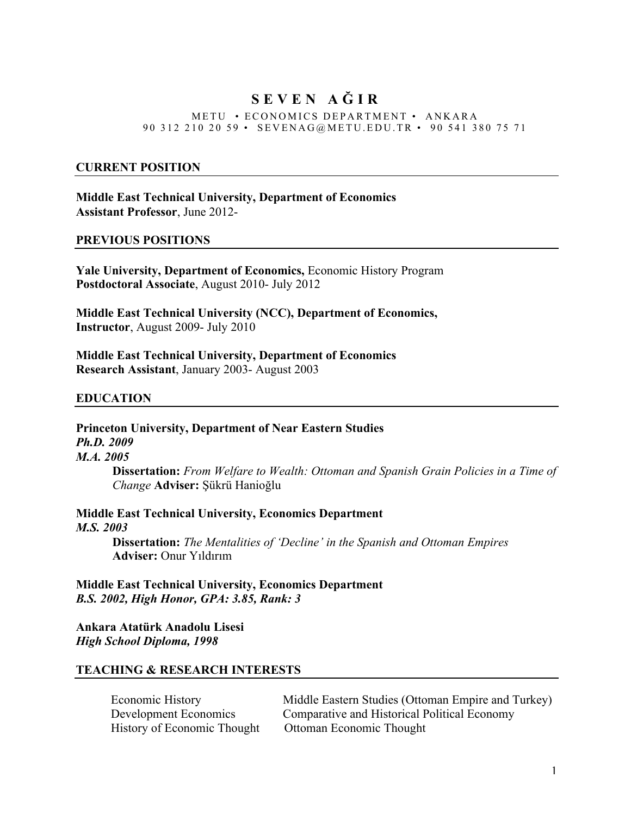# **SEVEN A Ğ I R**

#### METU • ECONOMICS DEPARTMENT • ANKARA 90 312 210 20 59 • SEVENA G @ METU. EDU. TR • 90 541 380 75 71

#### **CURRENT POSITION**

**Middle East Technical University, Department of Economics Assistant Professor**, June 2012-

#### **PREVIOUS POSITIONS**

**Yale University, Department of Economics,** Economic History Program **Postdoctoral Associate**, August 2010- July 2012

**Middle East Technical University (NCC), Department of Economics, Instructor**, August 2009- July 2010

**Middle East Technical University, Department of Economics Research Assistant**, January 2003- August 2003

#### **EDUCATION**

**Princeton University, Department of Near Eastern Studies**  *Ph.D. 2009 M.A. 2005* **Dissertation:** *From Welfare to Wealth: Ottoman and Spanish Grain Policies in a Time of* 

*Change* **Adviser:** Şükrü Hanioğlu

**Middle East Technical University, Economics Department**  *M.S. 2003*

**Dissertation:** *The Mentalities of 'Decline' in the Spanish and Ottoman Empires* **Adviser:** Onur Yıldırım

**Middle East Technical University, Economics Department**  *B.S. 2002, High Honor, GPA: 3.85, Rank: 3*

**Ankara Atatürk Anadolu Lisesi** *High School Diploma, 1998*

### **TEACHING & RESEARCH INTERESTS**

Economic History Middle Eastern Studies (Ottoman Empire and Turkey) Development Economics Comparative and Historical Political Economy History of Economic Thought Ottoman Economic Thought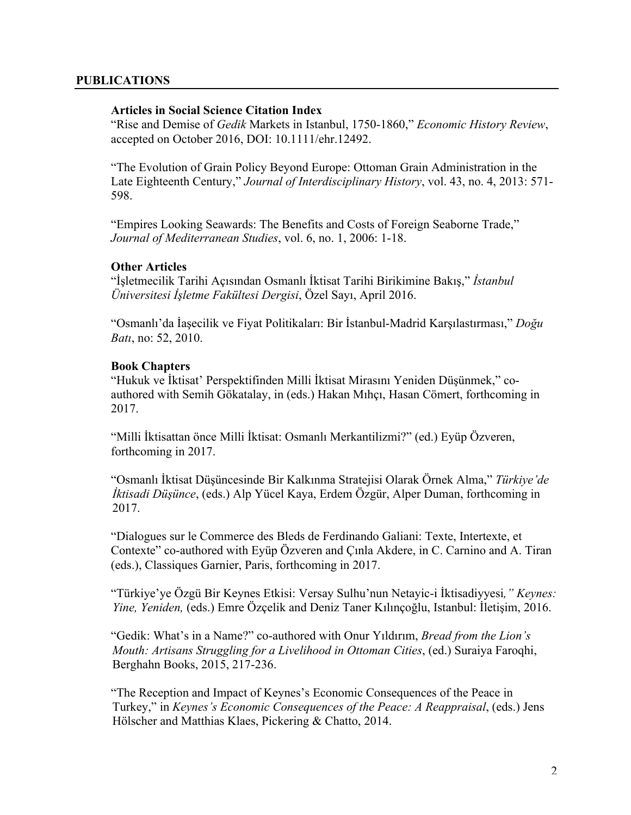### **PUBLICATIONS**

### **Articles in Social Science Citation Index**

"Rise and Demise of *Gedik* Markets in Istanbul, 1750-1860," *Economic History Review*, accepted on October 2016, DOI: 10.1111/ehr.12492.

"The Evolution of Grain Policy Beyond Europe: Ottoman Grain Administration in the Late Eighteenth Century," *Journal of Interdisciplinary History*, vol. 43, no. 4, 2013: 571- 598.

"Empires Looking Seawards: The Benefits and Costs of Foreign Seaborne Trade," *Journal of Mediterranean Studies*, vol. 6, no. 1, 2006: 1-18.

# **Other Articles**

"İşletmecilik Tarihi Açısından Osmanlı İktisat Tarihi Birikimine Bakış," *İstanbul Üniversitesi İşletme Fakültesi Dergisi*, Özel Sayı, April 2016.

"Osmanlı'da İaşecilik ve Fiyat Politikaları: Bir İstanbul-Madrid Karşılastırması," *Doğu Batı*, no: 52, 2010.

#### **Book Chapters**

"Hukuk ve İktisat' Perspektifinden Milli İktisat Mirasını Yeniden Düşünmek," coauthored with Semih Gökatalay, in (eds.) Hakan Mıhçı, Hasan Cömert, forthcoming in 2017.

"Milli İktisattan önce Milli İktisat: Osmanlı Merkantilizmi?" (ed.) Eyüp Özveren, forthcoming in 2017.

"Osmanlı İktisat Düşüncesinde Bir Kalkınma Stratejisi Olarak Örnek Alma," *Türkiye'de İktisadi Düşünce*, (eds.) Alp Yücel Kaya, Erdem Özgür, Alper Duman, forthcoming in 2017.

"Dialogues sur le Commerce des Bleds de Ferdinando Galiani: Texte, Intertexte, et Contexte" co-authored with Eyüp Özveren and Çınla Akdere, in C. Carnino and A. Tiran (eds.), Classiques Garnier, Paris, forthcoming in 2017.

"Türkiye'ye Özgü Bir Keynes Etkisi: Versay Sulhu'nun Netayic-i İktisadiyyesi*," Keynes: Yine, Yeniden,* (eds.) Emre Özçelik and Deniz Taner Kılınçoğlu, Istanbul: İletişim, 2016.

"Gedik: What's in a Name?" co-authored with Onur Yıldırım, *Bread from the Lion's Mouth: Artisans Struggling for a Livelihood in Ottoman Cities*, (ed.) Suraiya Faroqhi, Berghahn Books, 2015, 217-236.

"The Reception and Impact of Keynes's Economic Consequences of the Peace in Turkey," in *Keynes's Economic Consequences of the Peace: A Reappraisal*, (eds.) Jens Hölscher and Matthias Klaes, Pickering & Chatto, 2014.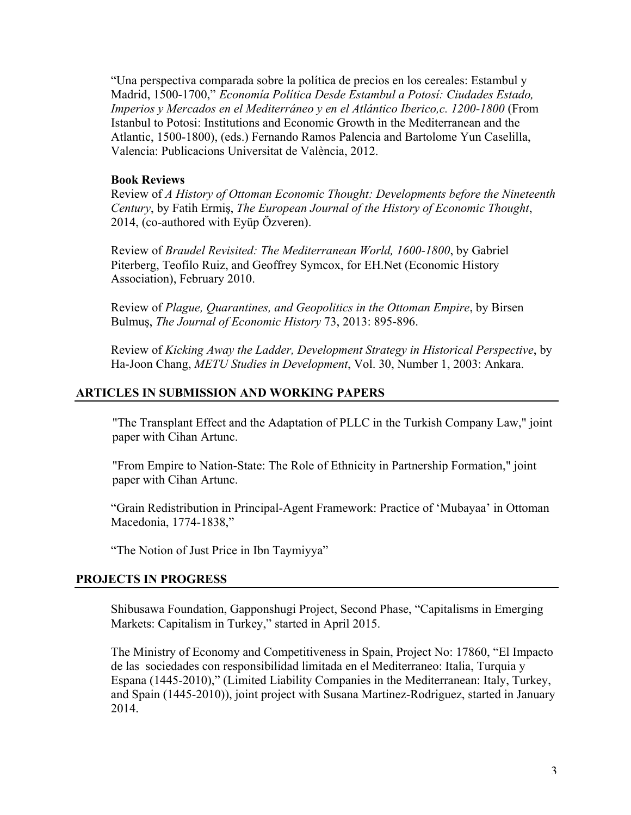"Una perspectiva comparada sobre la política de precios en los cereales: Estambul y Madrid, 1500-1700," *Economía Política Desde Estambul a Potosí: Ciudades Estado, Imperios y Mercados en el Mediterráneo y en el Atlántico Iberico,c. 1200-1800* (From Istanbul to Potosi: Institutions and Economic Growth in the Mediterranean and the Atlantic, 1500-1800), (eds.) Fernando Ramos Palencia and Bartolome Yun Caselilla, Valencia: Publicacions Universitat de València, 2012.

# **Book Reviews**

Review of *A History of Ottoman Economic Thought: Developments before the Nineteenth Century*, by Fatih Ermiş, *The European Journal of the History of Economic Thought*, 2014, (co-authored with Eyüp Özveren).

Review of *Braudel Revisited: The Mediterranean World, 1600-1800*, by Gabriel Piterberg, Teofilo Ruiz, and Geoffrey Symcox, for EH.Net (Economic History Association), February 2010.

Review of *Plague, Quarantines, and Geopolitics in the Ottoman Empire*, by Birsen Bulmuş, *The Journal of Economic History* 73, 2013: 895-896.

Review of *Kicking Away the Ladder, Development Strategy in Historical Perspective*, by Ha-Joon Chang, *METU Studies in Development*, Vol. 30, Number 1, 2003: Ankara.

### **ARTICLES IN SUBMISSION AND WORKING PAPERS**

"The Transplant Effect and the Adaptation of PLLC in the Turkish Company Law," joint paper with Cihan Artunc.

"From Empire to Nation-State: The Role of Ethnicity in Partnership Formation," joint paper with Cihan Artunc.

"Grain Redistribution in Principal-Agent Framework: Practice of 'Mubayaa' in Ottoman Macedonia, 1774-1838,"

"The Notion of Just Price in Ibn Taymiyya"

### **PROJECTS IN PROGRESS**

Shibusawa Foundation, Gapponshugi Project, Second Phase, "Capitalisms in Emerging Markets: Capitalism in Turkey," started in April 2015.

The Ministry of Economy and Competitiveness in Spain, Project No: 17860, "El Impacto de las sociedades con responsibilidad limitada en el Mediterraneo: Italia, Turquia y Espana (1445-2010)," (Limited Liability Companies in the Mediterranean: Italy, Turkey, and Spain (1445-2010)), joint project with Susana Martinez-Rodriguez, started in January 2014.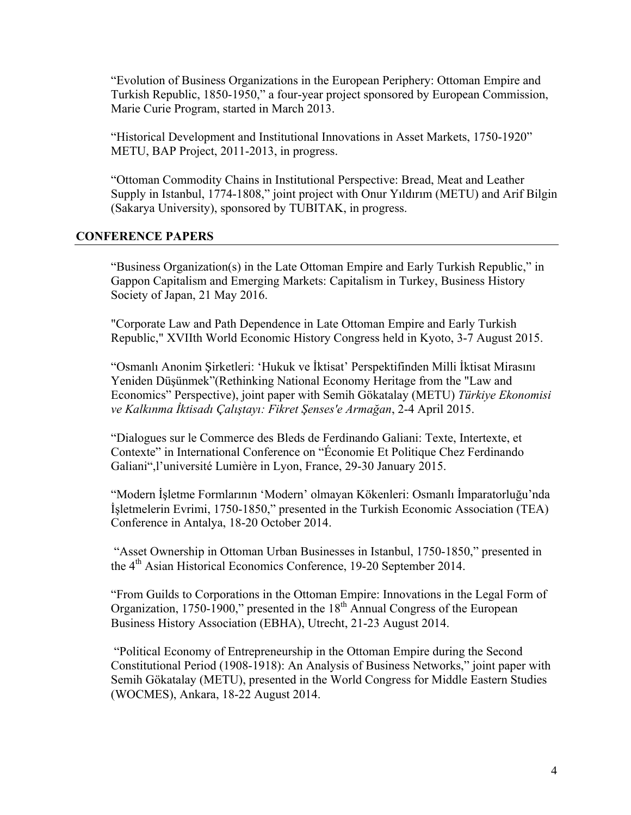"Evolution of Business Organizations in the European Periphery: Ottoman Empire and Turkish Republic, 1850-1950," a four-year project sponsored by European Commission, Marie Curie Program, started in March 2013.

"Historical Development and Institutional Innovations in Asset Markets, 1750-1920" METU, BAP Project, 2011-2013, in progress.

"Ottoman Commodity Chains in Institutional Perspective: Bread, Meat and Leather Supply in Istanbul, 1774-1808," joint project with Onur Yıldırım (METU) and Arif Bilgin (Sakarya University), sponsored by TUBITAK, in progress.

# **CONFERENCE PAPERS**

"Business Organization(s) in the Late Ottoman Empire and Early Turkish Republic," in Gappon Capitalism and Emerging Markets: Capitalism in Turkey, Business History Society of Japan, 21 May 2016.

"Corporate Law and Path Dependence in Late Ottoman Empire and Early Turkish Republic," XVIIth World Economic History Congress held in Kyoto, 3-7 August 2015.

"Osmanlı Anonim Şirketleri: 'Hukuk ve İktisat' Perspektifinden Milli İktisat Mirasını Yeniden Düşünmek"(Rethinking National Economy Heritage from the "Law and Economics" Perspective), joint paper with Semih Gökatalay (METU) *Türkiye Ekonomisi ve Kalkınma İktisadı Çalıştayı: Fikret Şenses'e Armağan*, 2-4 April 2015.

"Dialogues sur le Commerce des Bleds de Ferdinando Galiani: Texte, Intertexte, et Contexte" in International Conference on "Économie Et Politique Chez Ferdinando Galiani",l'université Lumière in Lyon, France, 29-30 January 2015.

"Modern İşletme Formlarının 'Modern' olmayan Kökenleri: Osmanlı İmparatorluğu'nda İşletmelerin Evrimi, 1750-1850," presented in the Turkish Economic Association (TEA) Conference in Antalya, 18-20 October 2014.

"Asset Ownership in Ottoman Urban Businesses in Istanbul, 1750-1850," presented in the 4th Asian Historical Economics Conference, 19-20 September 2014.

"From Guilds to Corporations in the Ottoman Empire: Innovations in the Legal Form of Organization, 1750-1900," presented in the  $18<sup>th</sup>$  Annual Congress of the European Business History Association (EBHA), Utrecht, 21-23 August 2014.

"Political Economy of Entrepreneurship in the Ottoman Empire during the Second Constitutional Period (1908-1918): An Analysis of Business Networks," joint paper with Semih Gökatalay (METU), presented in the World Congress for Middle Eastern Studies (WOCMES), Ankara, 18-22 August 2014.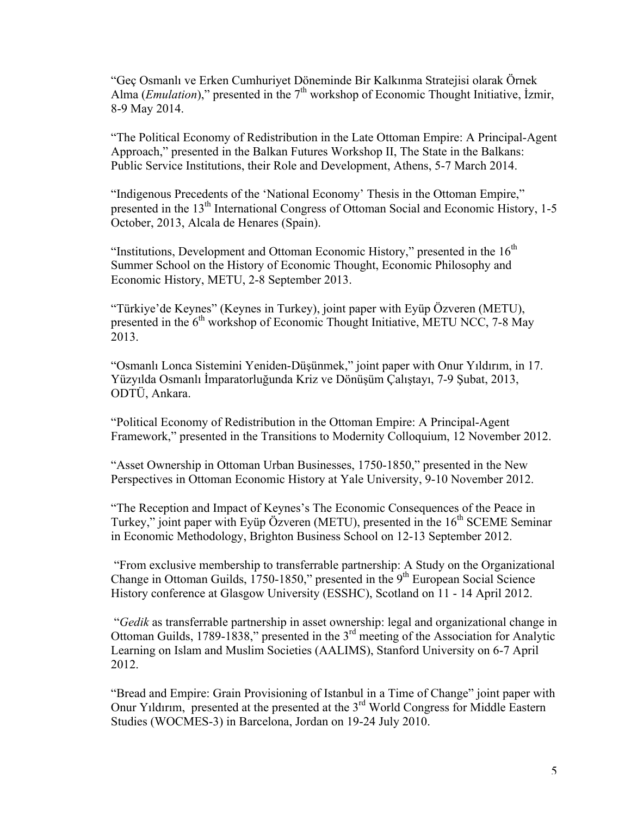"Geç Osmanlı ve Erken Cumhuriyet Döneminde Bir Kalkınma Stratejisi olarak Örnek Alma (*Emulation*)," presented in the  $7<sup>th</sup>$  workshop of Economic Thought Initiative, *İzmir*, 8-9 May 2014.

"The Political Economy of Redistribution in the Late Ottoman Empire: A Principal-Agent Approach," presented in the Balkan Futures Workshop II, The State in the Balkans: Public Service Institutions, their Role and Development, Athens, 5-7 March 2014.

"Indigenous Precedents of the 'National Economy' Thesis in the Ottoman Empire," presented in the 13<sup>th</sup> International Congress of Ottoman Social and Economic History, 1-5 October, 2013, Alcala de Henares (Spain).

"Institutions, Development and Ottoman Economic History," presented in the  $16<sup>th</sup>$ Summer School on the History of Economic Thought, Economic Philosophy and Economic History, METU, 2-8 September 2013.

"Türkiye'de Keynes" (Keynes in Turkey), joint paper with Eyüp Özveren (METU), presented in the  $6<sup>th</sup>$  workshop of Economic Thought Initiative, METU NCC, 7-8 May 2013.

"Osmanlı Lonca Sistemini Yeniden-Düşünmek," joint paper with Onur Yıldırım, in 17. Yüzyılda Osmanlı İmparatorluğunda Kriz ve Dönüşüm Çalıştayı, 7-9 Şubat, 2013, ODTÜ, Ankara.

"Political Economy of Redistribution in the Ottoman Empire: A Principal-Agent Framework," presented in the Transitions to Modernity Colloquium, 12 November 2012.

"Asset Ownership in Ottoman Urban Businesses, 1750-1850," presented in the New Perspectives in Ottoman Economic History at Yale University, 9-10 November 2012.

"The Reception and Impact of Keynes's The Economic Consequences of the Peace in Turkey," joint paper with Eyüp Özveren (METU), presented in the  $16<sup>th</sup>$  SCEME Seminar in Economic Methodology, Brighton Business School on 12-13 September 2012.

"From exclusive membership to transferrable partnership: A Study on the Organizational Change in Ottoman Guilds,  $1750-1850$ ," presented in the  $9<sup>th</sup>$  European Social Science History conference at Glasgow University (ESSHC), Scotland on 11 - 14 April 2012.

"*Gedik* as transferrable partnership in asset ownership: legal and organizational change in Ottoman Guilds, 1789-1838," presented in the 3rd meeting of the Association for Analytic Learning on Islam and Muslim Societies (AALIMS), Stanford University on 6-7 April 2012.

"Bread and Empire: Grain Provisioning of Istanbul in a Time of Change" joint paper with Onur Yıldırım, presented at the presented at the 3rd World Congress for Middle Eastern Studies (WOCMES-3) in Barcelona, Jordan on 19-24 July 2010.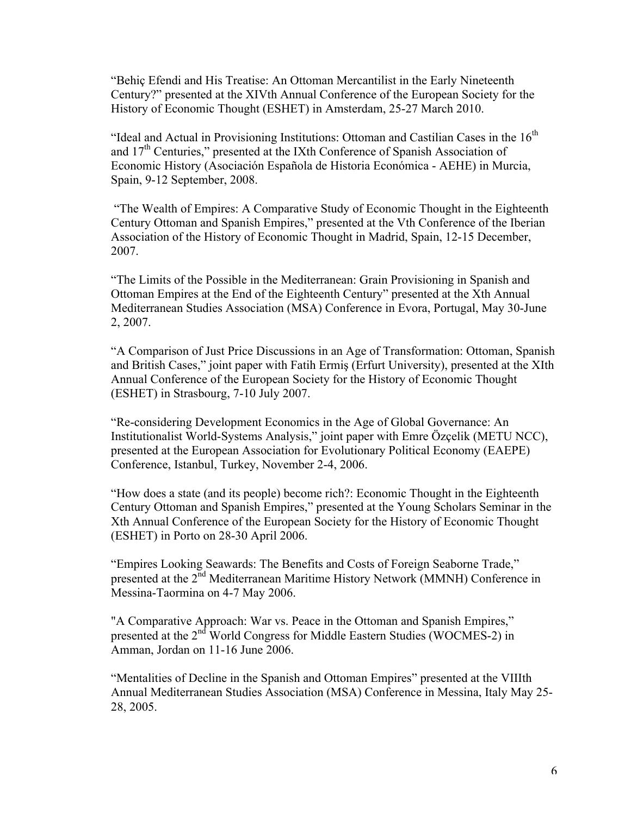"Behiç Efendi and His Treatise: An Ottoman Mercantilist in the Early Nineteenth Century?" presented at the XIVth Annual Conference of the European Society for the History of Economic Thought (ESHET) in Amsterdam, 25-27 March 2010.

"Ideal and Actual in Provisioning Institutions: Ottoman and Castilian Cases in the  $16<sup>th</sup>$ and  $17<sup>th</sup>$  Centuries," presented at the IXth Conference of Spanish Association of Economic History (Asociación Española de Historia Económica - AEHE) in Murcia, Spain, 9-12 September, 2008.

"The Wealth of Empires: A Comparative Study of Economic Thought in the Eighteenth Century Ottoman and Spanish Empires," presented at the Vth Conference of the Iberian Association of the History of Economic Thought in Madrid, Spain, 12-15 December, 2007.

"The Limits of the Possible in the Mediterranean: Grain Provisioning in Spanish and Ottoman Empires at the End of the Eighteenth Century" presented at the Xth Annual Mediterranean Studies Association (MSA) Conference in Evora, Portugal, May 30-June 2, 2007.

"A Comparison of Just Price Discussions in an Age of Transformation: Ottoman, Spanish and British Cases," joint paper with Fatih Ermiş (Erfurt University), presented at the XIth Annual Conference of the European Society for the History of Economic Thought (ESHET) in Strasbourg, 7-10 July 2007.

"Re-considering Development Economics in the Age of Global Governance: An Institutionalist World-Systems Analysis," joint paper with Emre Özçelik (METU NCC), presented at the European Association for Evolutionary Political Economy (EAEPE) Conference, Istanbul, Turkey, November 2-4, 2006.

"How does a state (and its people) become rich?: Economic Thought in the Eighteenth Century Ottoman and Spanish Empires," presented at the Young Scholars Seminar in the Xth Annual Conference of the European Society for the History of Economic Thought (ESHET) in Porto on 28-30 April 2006.

"Empires Looking Seawards: The Benefits and Costs of Foreign Seaborne Trade," presented at the 2<sup>nd</sup> Mediterranean Maritime History Network (MMNH) Conference in Messina-Taormina on 4-7 May 2006.

"A Comparative Approach: War vs. Peace in the Ottoman and Spanish Empires," presented at the 2<sup>nd</sup> World Congress for Middle Eastern Studies (WOCMES-2) in Amman, Jordan on 11-16 June 2006.

"Mentalities of Decline in the Spanish and Ottoman Empires" presented at the VIIIth Annual Mediterranean Studies Association (MSA) Conference in Messina, Italy May 25- 28, 2005.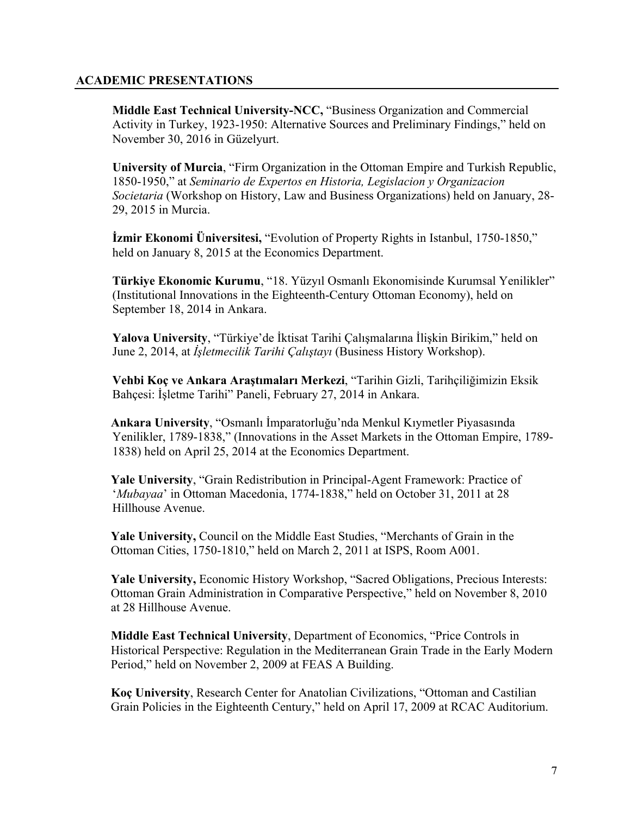# **ACADEMIC PRESENTATIONS**

**Middle East Technical University-NCC,** "Business Organization and Commercial Activity in Turkey, 1923-1950: Alternative Sources and Preliminary Findings," held on November 30, 2016 in Güzelyurt.

**University of Murcia**, "Firm Organization in the Ottoman Empire and Turkish Republic, 1850-1950," at *Seminario de Expertos en Historia, Legislacion y Organizacion Societaria* (Workshop on History, Law and Business Organizations) held on January, 28- 29, 2015 in Murcia.

**İzmir Ekonomi Üniversitesi,** "Evolution of Property Rights in Istanbul, 1750-1850," held on January 8, 2015 at the Economics Department.

**Türkiye Ekonomic Kurumu**, "18. Yüzyıl Osmanlı Ekonomisinde Kurumsal Yenilikler" (Institutional Innovations in the Eighteenth-Century Ottoman Economy), held on September 18, 2014 in Ankara.

**Yalova University**, "Türkiye'de İktisat Tarihi Çalışmalarına İlişkin Birikim," held on June 2, 2014, at *İşletmecilik Tarihi Çalıştayı* (Business History Workshop).

**Vehbi Koç ve Ankara Araştımaları Merkezi**, "Tarihin Gizli, Tarihçiliğimizin Eksik Bahçesi: İşletme Tarihi" Paneli, February 27, 2014 in Ankara.

**Ankara University**, "Osmanlı İmparatorluğu'nda Menkul Kıymetler Piyasasında Yenilikler, 1789-1838," (Innovations in the Asset Markets in the Ottoman Empire, 1789- 1838) held on April 25, 2014 at the Economics Department.

**Yale University**, "Grain Redistribution in Principal-Agent Framework: Practice of '*Mubayaa*' in Ottoman Macedonia, 1774-1838," held on October 31, 2011 at 28 Hillhouse Avenue.

**Yale University,** Council on the Middle East Studies, "Merchants of Grain in the Ottoman Cities, 1750-1810," held on March 2, 2011 at ISPS, Room A001.

**Yale University,** Economic History Workshop, "Sacred Obligations, Precious Interests: Ottoman Grain Administration in Comparative Perspective," held on November 8, 2010 at 28 Hillhouse Avenue.

**Middle East Technical University**, Department of Economics, "Price Controls in Historical Perspective: Regulation in the Mediterranean Grain Trade in the Early Modern Period," held on November 2, 2009 at FEAS A Building.

**Koç University**, Research Center for Anatolian Civilizations, "Ottoman and Castilian Grain Policies in the Eighteenth Century," held on April 17, 2009 at RCAC Auditorium.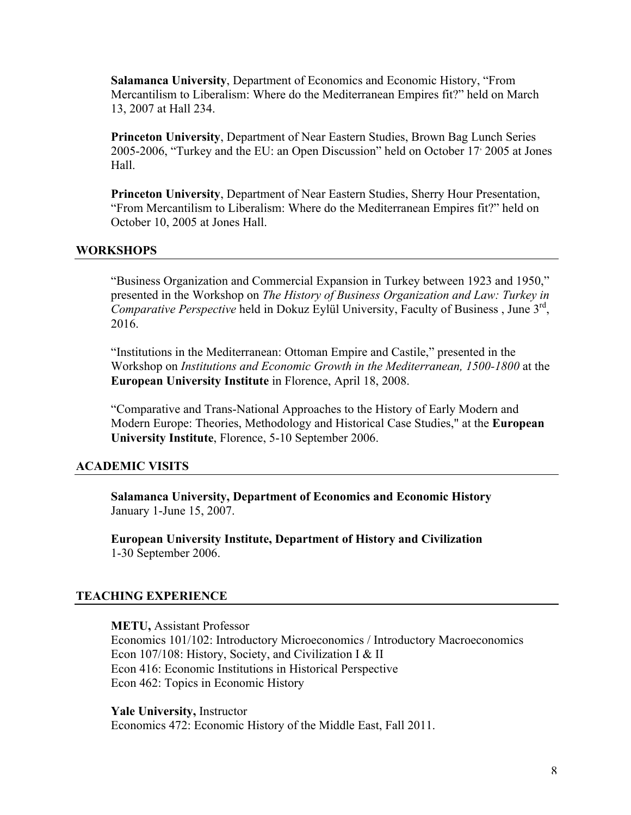**Salamanca University**, Department of Economics and Economic History, "From Mercantilism to Liberalism: Where do the Mediterranean Empires fit?" held on March 13, 2007 at Hall 234.

**Princeton University**, Department of Near Eastern Studies, Brown Bag Lunch Series 2005-2006, "Turkey and the EU: an Open Discussion" held on October 17, 2005 at Jones Hall.

**Princeton University**, Department of Near Eastern Studies, Sherry Hour Presentation, "From Mercantilism to Liberalism: Where do the Mediterranean Empires fit?" held on October 10, 2005 at Jones Hall.

# **WORKSHOPS**

"Business Organization and Commercial Expansion in Turkey between 1923 and 1950," presented in the Workshop on *The History of Business Organization and Law: Turkey in Comparative Perspective* held in Dokuz Eylül University, Faculty of Business, June 3<sup>rd</sup>, 2016.

"Institutions in the Mediterranean: Ottoman Empire and Castile," presented in the Workshop on *Institutions and Economic Growth in the Mediterranean, 1500-1800* at the **European University Institute** in Florence, April 18, 2008.

"Comparative and Trans-National Approaches to the History of Early Modern and Modern Europe: Theories, Methodology and Historical Case Studies," at the **European University Institute**, Florence, 5-10 September 2006.

# **ACADEMIC VISITS**

**Salamanca University, Department of Economics and Economic History**  January 1-June 15, 2007.

**European University Institute, Department of History and Civilization** 1-30 September 2006.

# **TEACHING EXPERIENCE**

**METU,** Assistant Professor Economics 101/102: Introductory Microeconomics / Introductory Macroeconomics Econ 107/108: History, Society, and Civilization I & II Econ 416: Economic Institutions in Historical Perspective Econ 462: Topics in Economic History

**Yale University,** Instructor Economics 472: Economic History of the Middle East, Fall 2011.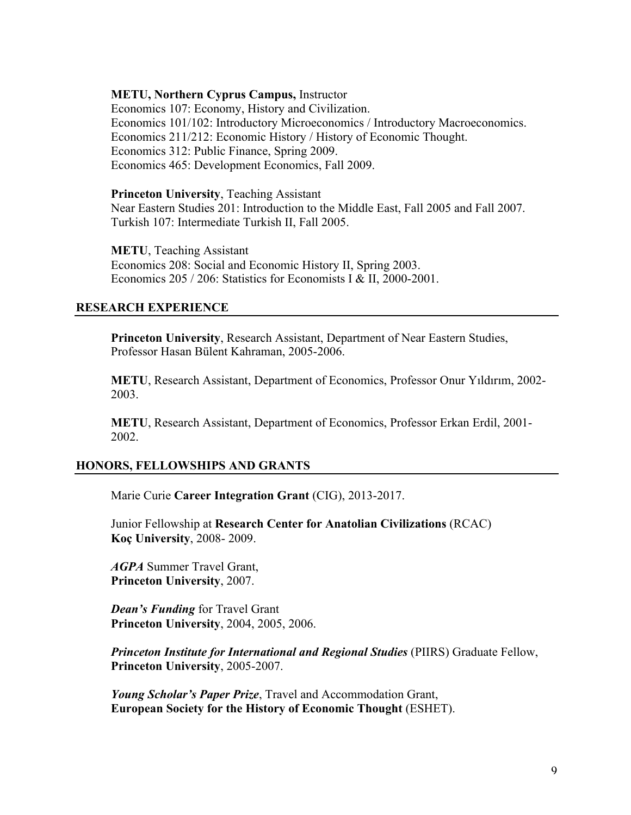### **METU, Northern Cyprus Campus,** Instructor

Economics 107: Economy, History and Civilization. Economics 101/102: Introductory Microeconomics / Introductory Macroeconomics. Economics 211/212: Economic History / History of Economic Thought. Economics 312: Public Finance, Spring 2009. Economics 465: Development Economics, Fall 2009.

### **Princeton University**, Teaching Assistant

Near Eastern Studies 201: Introduction to the Middle East, Fall 2005 and Fall 2007. Turkish 107: Intermediate Turkish II, Fall 2005.

**METU**, Teaching Assistant Economics 208: Social and Economic History II, Spring 2003. Economics 205 / 206: Statistics for Economists I & II, 2000-2001.

### **RESEARCH EXPERIENCE**

**Princeton University**, Research Assistant, Department of Near Eastern Studies, Professor Hasan Bülent Kahraman, 2005-2006.

**METU**, Research Assistant, Department of Economics, Professor Onur Yıldırım, 2002- 2003.

**METU**, Research Assistant, Department of Economics, Professor Erkan Erdil, 2001- 2002.

# **HONORS, FELLOWSHIPS AND GRANTS**

Marie Curie **Career Integration Grant** (CIG), 2013-2017.

Junior Fellowship at **Research Center for Anatolian Civilizations** (RCAC) **Koç University**, 2008- 2009.

*AGPA* Summer Travel Grant, **Princeton University**, 2007.

*Dean's Funding* for Travel Grant **Princeton University**, 2004, 2005, 2006.

*Princeton Institute for International and Regional Studies* (PIIRS) Graduate Fellow, **Princeton University**, 2005-2007.

*Young Scholar's Paper Prize*, Travel and Accommodation Grant, **European Society for the History of Economic Thought** (ESHET).